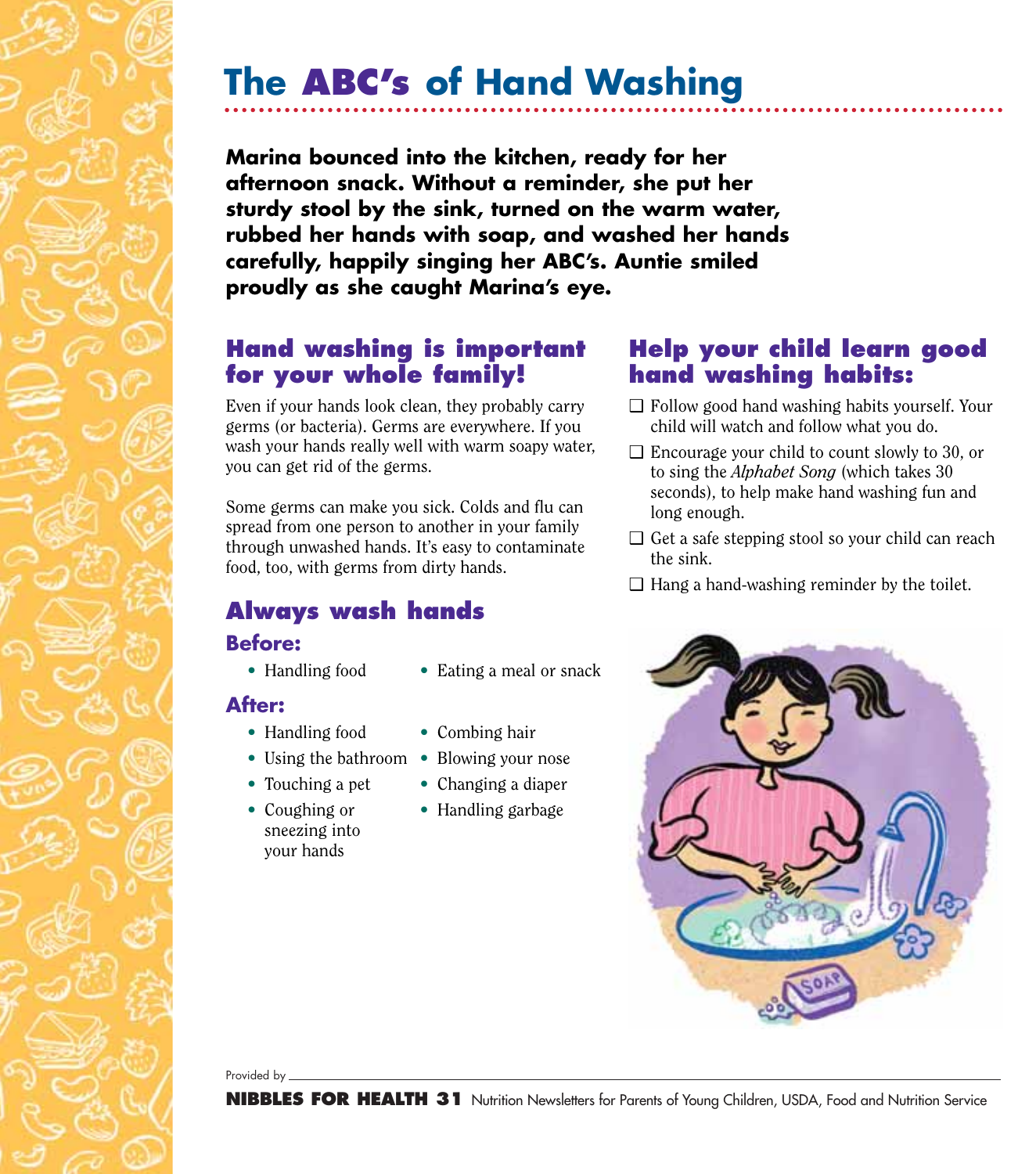## **The ABC's of Hand Washing**

**Marina bounced into the kitchen, ready for her afternoon snack. Without a reminder, she put her sturdy stool by the sink, turned on the warm water, rubbed her hands with soap, and washed her hands carefully, happily singing her ABC's. Auntie smiled proudly as she caught Marina's eye.**

#### **Hand washing is important for your whole family!**

Even if your hands look clean, they probably carry germs (or bacteria). Germs are everywhere. If you wash your hands really well with warm soapy water, you can get rid of the germs.

Some germs can make you sick. Colds and flu can spread from one person to another in your family through unwashed hands. It's easy to contaminate food, too, with germs from dirty hands.

## **Always wash hands**

#### **Before:**

- 
- Handling food Eating a meal or snack

#### **After:**

- 
- Handling food Combing hair
- Using the bathroom Blowing your nose
- 
- sneezing into your hands
- 
- 
- Touching a pet Changing a diaper
- Coughing or Handling garbage

### **Help your child learn good hand washing habits:**

- ❑ Follow good hand washing habits yourself. Your child will watch and follow what you do.
- $\Box$  Encourage your child to count slowly to 30, or to sing the *Alphabet Song* (which takes 30 seconds), to help make hand washing fun and long enough.
- ❑ Get a safe stepping stool so your child can reach the sink.
- $\Box$  Hang a hand-washing reminder by the toilet.



Provided by